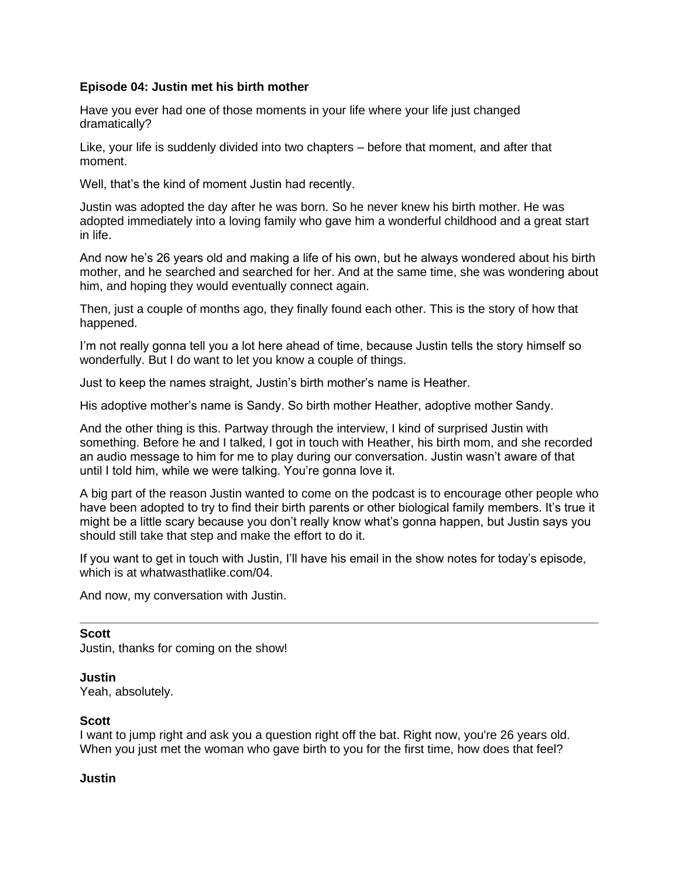### **Episode 04: Justin met his birth mother**

Have you ever had one of those moments in your life where your life just changed dramatically?

Like, your life is suddenly divided into two chapters – before that moment, and after that moment.

Well, that's the kind of moment Justin had recently.

Justin was adopted the day after he was born. So he never knew his birth mother. He was adopted immediately into a loving family who gave him a wonderful childhood and a great start in life.

And now he's 26 years old and making a life of his own, but he always wondered about his birth mother, and he searched and searched for her. And at the same time, she was wondering about him, and hoping they would eventually connect again.

Then, just a couple of months ago, they finally found each other. This is the story of how that happened.

I'm not really gonna tell you a lot here ahead of time, because Justin tells the story himself so wonderfully. But I do want to let you know a couple of things.

Just to keep the names straight, Justin's birth mother's name is Heather.

His adoptive mother's name is Sandy. So birth mother Heather, adoptive mother Sandy.

And the other thing is this. Partway through the interview, I kind of surprised Justin with something. Before he and I talked, I got in touch with Heather, his birth mom, and she recorded an audio message to him for me to play during our conversation. Justin wasn't aware of that until I told him, while we were talking. You're gonna love it.

A big part of the reason Justin wanted to come on the podcast is to encourage other people who have been adopted to try to find their birth parents or other biological family members. It's true it might be a little scary because you don't really know what's gonna happen, but Justin says you should still take that step and make the effort to do it.

If you want to get in touch with Justin, I'll have his email in the show notes for today's episode, which is at whatwasthatlike.com/04.

And now, my conversation with Justin.

#### **Scott**

Justin, thanks for coming on the show!

#### **Justin**

Yeah, absolutely.

## **Scott**

I want to jump right and ask you a question right off the bat. Right now, you're 26 years old. When you just met the woman who gave birth to you for the first time, how does that feel?

#### **Justin**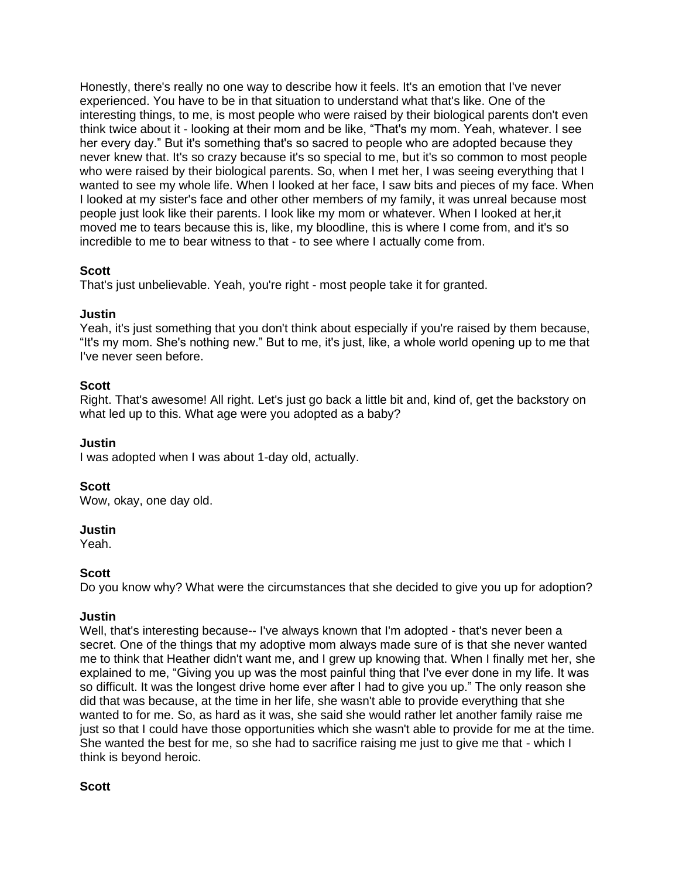Honestly, there's really no one way to describe how it feels. It's an emotion that I've never experienced. You have to be in that situation to understand what that's like. One of the interesting things, to me, is most people who were raised by their biological parents don't even think twice about it - looking at their mom and be like, "That's my mom. Yeah, whatever. I see her every day." But it's something that's so sacred to people who are adopted because they never knew that. It's so crazy because it's so special to me, but it's so common to most people who were raised by their biological parents. So, when I met her, I was seeing everything that I wanted to see my whole life. When I looked at her face, I saw bits and pieces of my face. When I looked at my sister's face and other other members of my family, it was unreal because most people just look like their parents. I look like my mom or whatever. When I looked at her,it moved me to tears because this is, like, my bloodline, this is where I come from, and it's so incredible to me to bear witness to that - to see where I actually come from.

## **Scott**

That's just unbelievable. Yeah, you're right - most people take it for granted.

## **Justin**

Yeah, it's just something that you don't think about especially if you're raised by them because, "It's my mom. She's nothing new." But to me, it's just, like, a whole world opening up to me that I've never seen before.

# **Scott**

Right. That's awesome! All right. Let's just go back a little bit and, kind of, get the backstory on what led up to this. What age were you adopted as a baby?

# **Justin**

I was adopted when I was about 1-day old, actually.

## **Scott**

Wow, okay, one day old.

## **Justin**

Yeah.

# **Scott**

Do you know why? What were the circumstances that she decided to give you up for adoption?

## **Justin**

Well, that's interesting because-- I've always known that I'm adopted - that's never been a secret. One of the things that my adoptive mom always made sure of is that she never wanted me to think that Heather didn't want me, and I grew up knowing that. When I finally met her, she explained to me, "Giving you up was the most painful thing that I've ever done in my life. It was so difficult. It was the longest drive home ever after I had to give you up." The only reason she did that was because, at the time in her life, she wasn't able to provide everything that she wanted to for me. So, as hard as it was, she said she would rather let another family raise me just so that I could have those opportunities which she wasn't able to provide for me at the time. She wanted the best for me, so she had to sacrifice raising me just to give me that - which I think is beyond heroic.

## **Scott**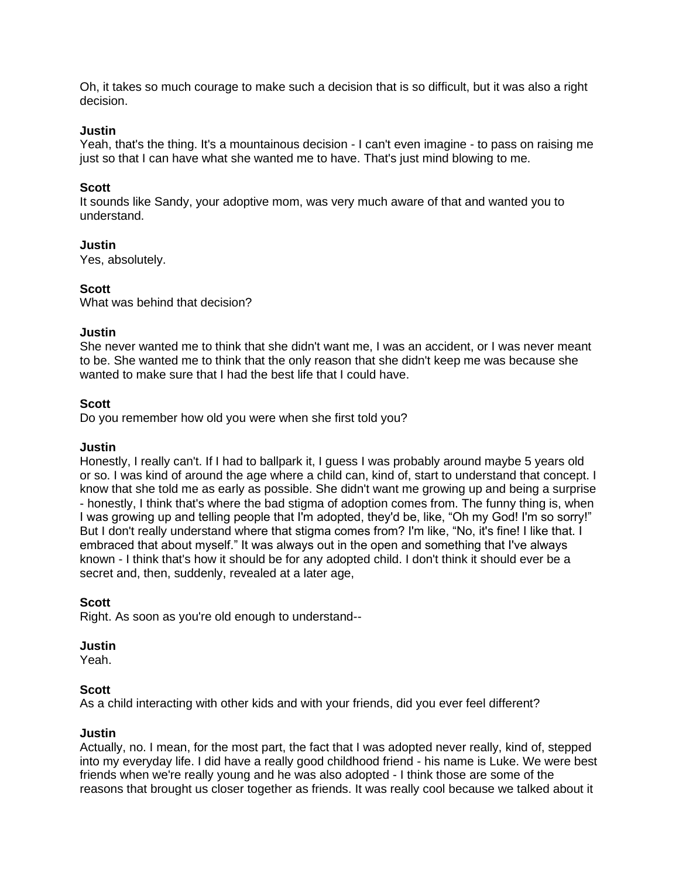Oh, it takes so much courage to make such a decision that is so difficult, but it was also a right decision.

#### **Justin**

Yeah, that's the thing. It's a mountainous decision - I can't even imagine - to pass on raising me just so that I can have what she wanted me to have. That's just mind blowing to me.

### **Scott**

It sounds like Sandy, your adoptive mom, was very much aware of that and wanted you to understand.

### **Justin**

Yes, absolutely.

### **Scott**

What was behind that decision?

### **Justin**

She never wanted me to think that she didn't want me, I was an accident, or I was never meant to be. She wanted me to think that the only reason that she didn't keep me was because she wanted to make sure that I had the best life that I could have.

### **Scott**

Do you remember how old you were when she first told you?

#### **Justin**

Honestly, I really can't. If I had to ballpark it, I guess I was probably around maybe 5 years old or so. I was kind of around the age where a child can, kind of, start to understand that concept. I know that she told me as early as possible. She didn't want me growing up and being a surprise - honestly, I think that's where the bad stigma of adoption comes from. The funny thing is, when I was growing up and telling people that I'm adopted, they'd be, like, "Oh my God! I'm so sorry!" But I don't really understand where that stigma comes from? I'm like, "No, it's fine! I like that. I embraced that about myself." It was always out in the open and something that I've always known - I think that's how it should be for any adopted child. I don't think it should ever be a secret and, then, suddenly, revealed at a later age,

#### **Scott**

Right. As soon as you're old enough to understand--

#### **Justin**

Yeah.

#### **Scott**

As a child interacting with other kids and with your friends, did you ever feel different?

#### **Justin**

Actually, no. I mean, for the most part, the fact that I was adopted never really, kind of, stepped into my everyday life. I did have a really good childhood friend - his name is Luke. We were best friends when we're really young and he was also adopted - I think those are some of the reasons that brought us closer together as friends. It was really cool because we talked about it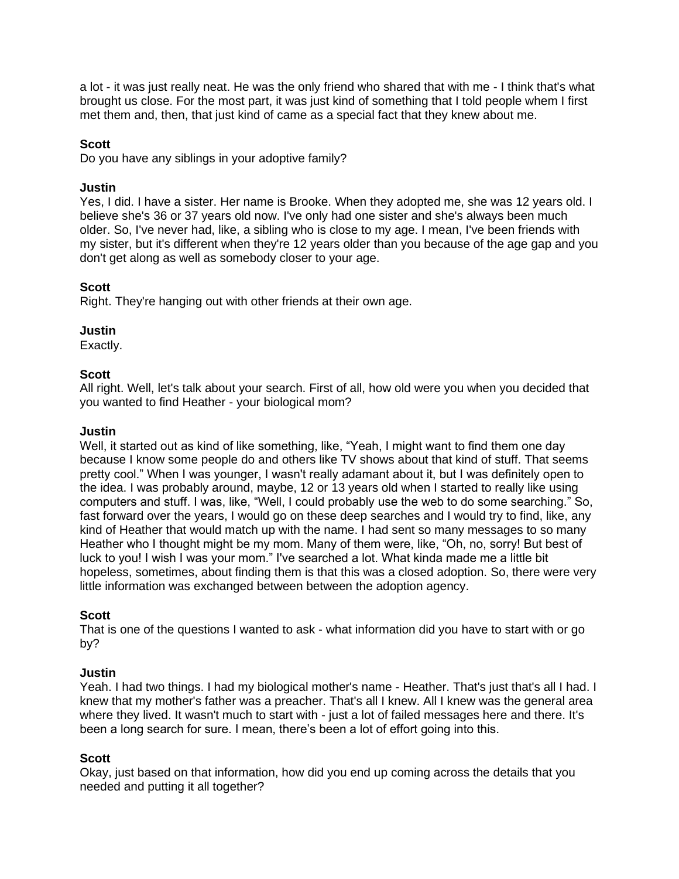a lot - it was just really neat. He was the only friend who shared that with me - I think that's what brought us close. For the most part, it was just kind of something that I told people whem I first met them and, then, that just kind of came as a special fact that they knew about me.

### **Scott**

Do you have any siblings in your adoptive family?

#### **Justin**

Yes, I did. I have a sister. Her name is Brooke. When they adopted me, she was 12 years old. I believe she's 36 or 37 years old now. I've only had one sister and she's always been much older. So, I've never had, like, a sibling who is close to my age. I mean, I've been friends with my sister, but it's different when they're 12 years older than you because of the age gap and you don't get along as well as somebody closer to your age.

### **Scott**

Right. They're hanging out with other friends at their own age.

## **Justin**

Exactly.

### **Scott**

All right. Well, let's talk about your search. First of all, how old were you when you decided that you wanted to find Heather - your biological mom?

### **Justin**

Well, it started out as kind of like something, like, "Yeah, I might want to find them one day because I know some people do and others like TV shows about that kind of stuff. That seems pretty cool." When I was younger, I wasn't really adamant about it, but I was definitely open to the idea. I was probably around, maybe, 12 or 13 years old when I started to really like using computers and stuff. I was, like, "Well, I could probably use the web to do some searching." So, fast forward over the years, I would go on these deep searches and I would try to find, like, any kind of Heather that would match up with the name. I had sent so many messages to so many Heather who I thought might be my mom. Many of them were, like, "Oh, no, sorry! But best of luck to you! I wish I was your mom." I've searched a lot. What kinda made me a little bit hopeless, sometimes, about finding them is that this was a closed adoption. So, there were very little information was exchanged between between the adoption agency.

#### **Scott**

That is one of the questions I wanted to ask - what information did you have to start with or go by?

#### **Justin**

Yeah. I had two things. I had my biological mother's name - Heather. That's just that's all I had. I knew that my mother's father was a preacher. That's all I knew. All I knew was the general area where they lived. It wasn't much to start with - just a lot of failed messages here and there. It's been a long search for sure. I mean, there's been a lot of effort going into this.

#### **Scott**

Okay, just based on that information, how did you end up coming across the details that you needed and putting it all together?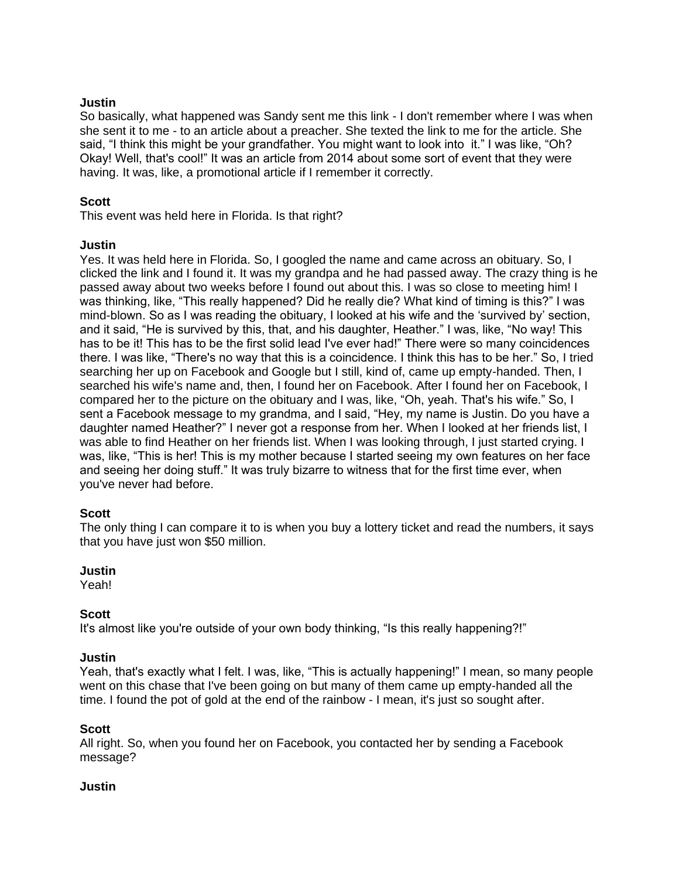### **Justin**

So basically, what happened was Sandy sent me this link - I don't remember where I was when she sent it to me - to an article about a preacher. She texted the link to me for the article. She said, "I think this might be your grandfather. You might want to look into it." I was like, "Oh? Okay! Well, that's cool!" It was an article from 2014 about some sort of event that they were having. It was, like, a promotional article if I remember it correctly.

## **Scott**

This event was held here in Florida. Is that right?

### **Justin**

Yes. It was held here in Florida. So, I googled the name and came across an obituary. So, I clicked the link and I found it. It was my grandpa and he had passed away. The crazy thing is he passed away about two weeks before I found out about this. I was so close to meeting him! I was thinking, like, "This really happened? Did he really die? What kind of timing is this?" I was mind-blown. So as I was reading the obituary, I looked at his wife and the 'survived by' section, and it said, "He is survived by this, that, and his daughter, Heather." I was, like, "No way! This has to be it! This has to be the first solid lead I've ever had!" There were so many coincidences there. I was like, "There's no way that this is a coincidence. I think this has to be her." So, I tried searching her up on Facebook and Google but I still, kind of, came up empty-handed. Then, I searched his wife's name and, then, I found her on Facebook. After I found her on Facebook, I compared her to the picture on the obituary and I was, like, "Oh, yeah. That's his wife." So, I sent a Facebook message to my grandma, and I said, "Hey, my name is Justin. Do you have a daughter named Heather?" I never got a response from her. When I looked at her friends list, I was able to find Heather on her friends list. When I was looking through, I just started crying. I was, like, "This is her! This is my mother because I started seeing my own features on her face and seeing her doing stuff." It was truly bizarre to witness that for the first time ever, when you've never had before.

## **Scott**

The only thing I can compare it to is when you buy a lottery ticket and read the numbers, it says that you have just won \$50 million.

#### **Justin**

Yeah!

#### **Scott**

It's almost like you're outside of your own body thinking, "Is this really happening?!"

#### **Justin**

Yeah, that's exactly what I felt. I was, like, "This is actually happening!" I mean, so many people went on this chase that I've been going on but many of them came up empty-handed all the time. I found the pot of gold at the end of the rainbow - I mean, it's just so sought after.

#### **Scott**

All right. So, when you found her on Facebook, you contacted her by sending a Facebook message?

#### **Justin**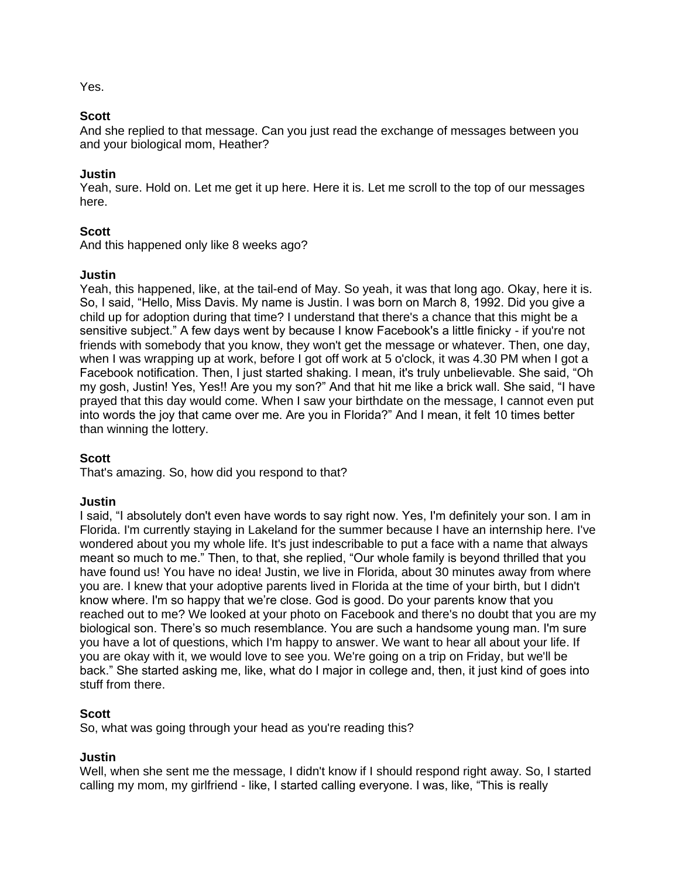Yes.

## **Scott**

And she replied to that message. Can you just read the exchange of messages between you and your biological mom, Heather?

### **Justin**

Yeah, sure. Hold on. Let me get it up here. Here it is. Let me scroll to the top of our messages here.

### **Scott**

And this happened only like 8 weeks ago?

### **Justin**

Yeah, this happened, like, at the tail-end of May. So yeah, it was that long ago. Okay, here it is. So, I said, "Hello, Miss Davis. My name is Justin. I was born on March 8, 1992. Did you give a child up for adoption during that time? I understand that there's a chance that this might be a sensitive subject." A few days went by because I know Facebook's a little finicky - if you're not friends with somebody that you know, they won't get the message or whatever. Then, one day, when I was wrapping up at work, before I got off work at 5 o'clock, it was 4.30 PM when I got a Facebook notification. Then, I just started shaking. I mean, it's truly unbelievable. She said, "Oh my gosh, Justin! Yes, Yes!! Are you my son?" And that hit me like a brick wall. She said, "I have prayed that this day would come. When I saw your birthdate on the message, I cannot even put into words the joy that came over me. Are you in Florida?" And I mean, it felt 10 times better than winning the lottery.

#### **Scott**

That's amazing. So, how did you respond to that?

#### **Justin**

I said, "I absolutely don't even have words to say right now. Yes, I'm definitely your son. I am in Florida. I'm currently staying in Lakeland for the summer because I have an internship here. I've wondered about you my whole life. It's just indescribable to put a face with a name that always meant so much to me." Then, to that, she replied, "Our whole family is beyond thrilled that you have found us! You have no idea! Justin, we live in Florida, about 30 minutes away from where you are. I knew that your adoptive parents lived in Florida at the time of your birth, but I didn't know where. I'm so happy that we're close. God is good. Do your parents know that you reached out to me? We looked at your photo on Facebook and there's no doubt that you are my biological son. There's so much resemblance. You are such a handsome young man. I'm sure you have a lot of questions, which I'm happy to answer. We want to hear all about your life. If you are okay with it, we would love to see you. We're going on a trip on Friday, but we'll be back." She started asking me, like, what do I major in college and, then, it just kind of goes into stuff from there.

#### **Scott**

So, what was going through your head as you're reading this?

#### **Justin**

Well, when she sent me the message, I didn't know if I should respond right away. So, I started calling my mom, my girlfriend - like, I started calling everyone. I was, like, "This is really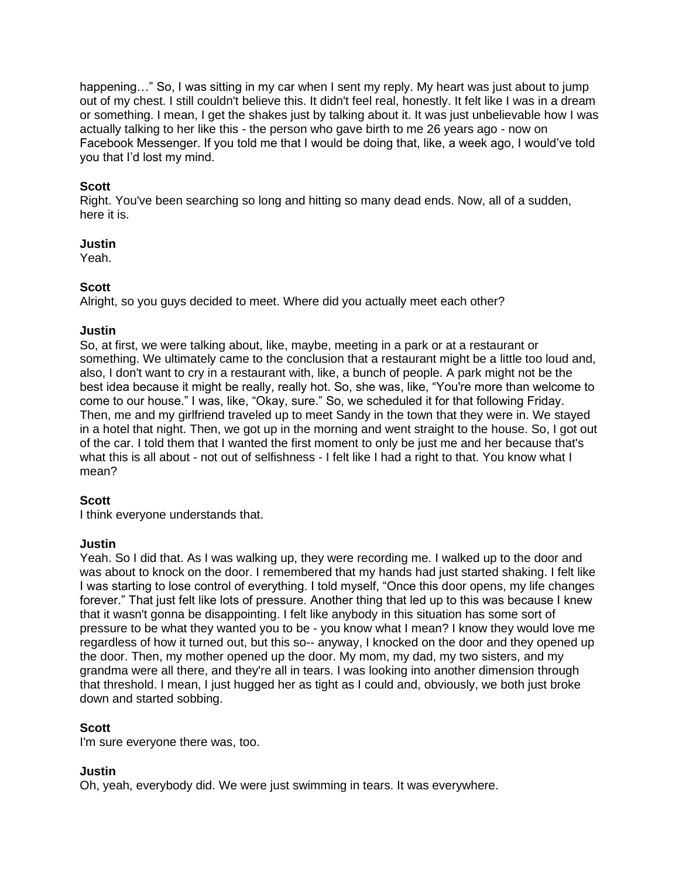happening..." So, I was sitting in my car when I sent my reply. My heart was just about to jump out of my chest. I still couldn't believe this. It didn't feel real, honestly. It felt like I was in a dream or something. I mean, I get the shakes just by talking about it. It was just unbelievable how I was actually talking to her like this - the person who gave birth to me 26 years ago - now on Facebook Messenger. If you told me that I would be doing that, like, a week ago, I would've told you that I'd lost my mind.

### **Scott**

Right. You've been searching so long and hitting so many dead ends. Now, all of a sudden, here it is.

#### **Justin**

Yeah.

### **Scott**

Alright, so you guys decided to meet. Where did you actually meet each other?

### **Justin**

So, at first, we were talking about, like, maybe, meeting in a park or at a restaurant or something. We ultimately came to the conclusion that a restaurant might be a little too loud and, also, I don't want to cry in a restaurant with, like, a bunch of people. A park might not be the best idea because it might be really, really hot. So, she was, like, "You're more than welcome to come to our house." I was, like, "Okay, sure." So, we scheduled it for that following Friday. Then, me and my girlfriend traveled up to meet Sandy in the town that they were in. We stayed in a hotel that night. Then, we got up in the morning and went straight to the house. So, I got out of the car. I told them that I wanted the first moment to only be just me and her because that's what this is all about - not out of selfishness - I felt like I had a right to that. You know what I mean?

## **Scott**

I think everyone understands that.

#### **Justin**

Yeah. So I did that. As I was walking up, they were recording me. I walked up to the door and was about to knock on the door. I remembered that my hands had just started shaking. I felt like I was starting to lose control of everything. I told myself, "Once this door opens, my life changes forever." That just felt like lots of pressure. Another thing that led up to this was because I knew that it wasn't gonna be disappointing. I felt like anybody in this situation has some sort of pressure to be what they wanted you to be - you know what I mean? I know they would love me regardless of how it turned out, but this so-- anyway, I knocked on the door and they opened up the door. Then, my mother opened up the door. My mom, my dad, my two sisters, and my grandma were all there, and they're all in tears. I was looking into another dimension through that threshold. I mean, I just hugged her as tight as I could and, obviously, we both just broke down and started sobbing.

## **Scott**

I'm sure everyone there was, too.

## **Justin**

Oh, yeah, everybody did. We were just swimming in tears. It was everywhere.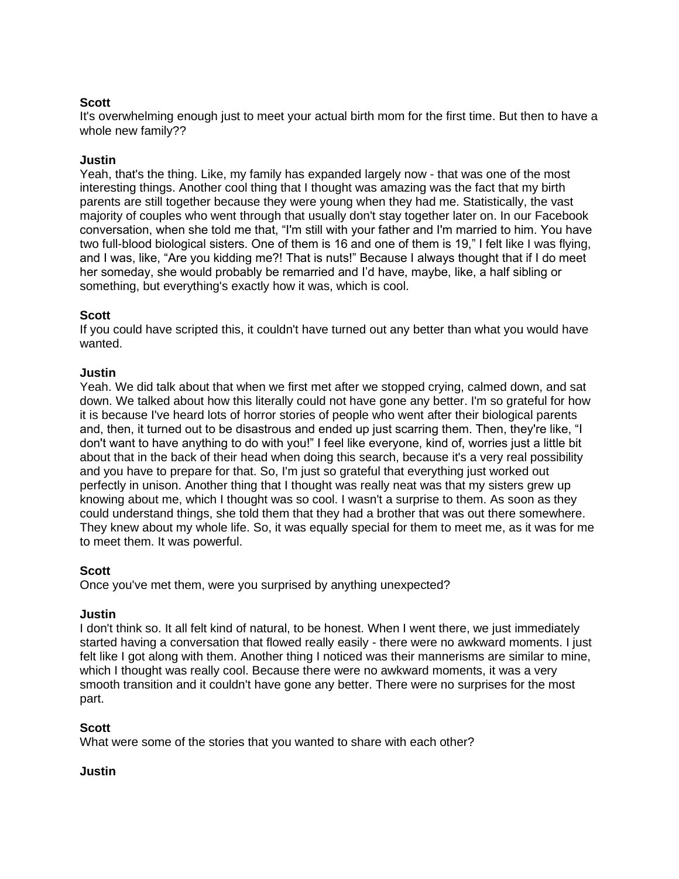## **Scott**

It's overwhelming enough just to meet your actual birth mom for the first time. But then to have a whole new family??

### **Justin**

Yeah, that's the thing. Like, my family has expanded largely now - that was one of the most interesting things. Another cool thing that I thought was amazing was the fact that my birth parents are still together because they were young when they had me. Statistically, the vast majority of couples who went through that usually don't stay together later on. In our Facebook conversation, when she told me that, "I'm still with your father and I'm married to him. You have two full-blood biological sisters. One of them is 16 and one of them is 19," I felt like I was flying, and I was, like, "Are you kidding me?! That is nuts!" Because I always thought that if I do meet her someday, she would probably be remarried and I'd have, maybe, like, a half sibling or something, but everything's exactly how it was, which is cool.

### **Scott**

If you could have scripted this, it couldn't have turned out any better than what you would have wanted.

### **Justin**

Yeah. We did talk about that when we first met after we stopped crying, calmed down, and sat down. We talked about how this literally could not have gone any better. I'm so grateful for how it is because I've heard lots of horror stories of people who went after their biological parents and, then, it turned out to be disastrous and ended up just scarring them. Then, they're like, "I don't want to have anything to do with you!" I feel like everyone, kind of, worries just a little bit about that in the back of their head when doing this search, because it's a very real possibility and you have to prepare for that. So, I'm just so grateful that everything just worked out perfectly in unison. Another thing that I thought was really neat was that my sisters grew up knowing about me, which I thought was so cool. I wasn't a surprise to them. As soon as they could understand things, she told them that they had a brother that was out there somewhere. They knew about my whole life. So, it was equally special for them to meet me, as it was for me to meet them. It was powerful.

#### **Scott**

Once you've met them, were you surprised by anything unexpected?

#### **Justin**

I don't think so. It all felt kind of natural, to be honest. When I went there, we just immediately started having a conversation that flowed really easily - there were no awkward moments. I just felt like I got along with them. Another thing I noticed was their mannerisms are similar to mine, which I thought was really cool. Because there were no awkward moments, it was a very smooth transition and it couldn't have gone any better. There were no surprises for the most part.

## **Scott**

What were some of the stories that you wanted to share with each other?

#### **Justin**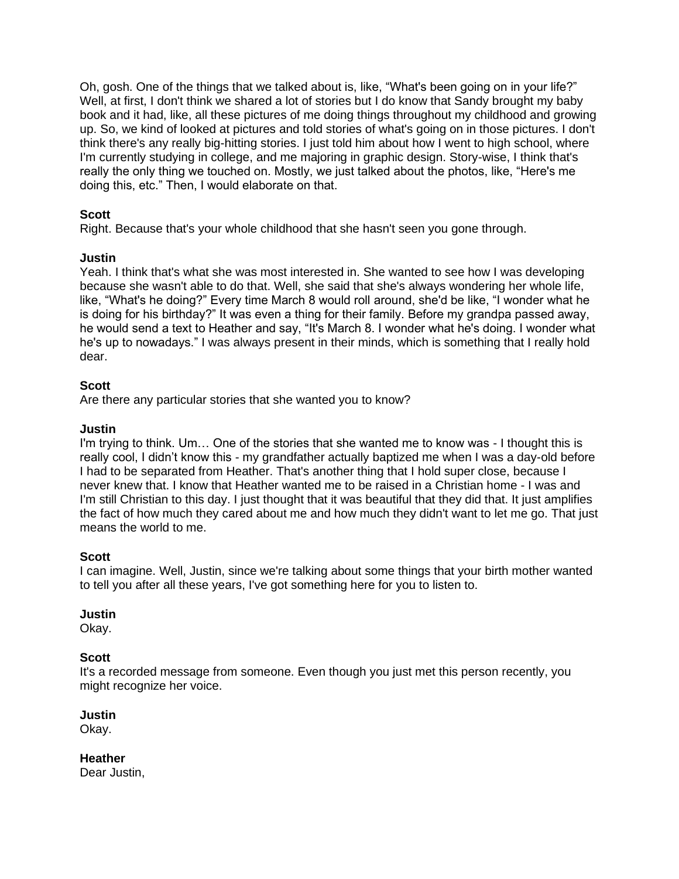Oh, gosh. One of the things that we talked about is, like, "What's been going on in your life?" Well, at first, I don't think we shared a lot of stories but I do know that Sandy brought my baby book and it had, like, all these pictures of me doing things throughout my childhood and growing up. So, we kind of looked at pictures and told stories of what's going on in those pictures. I don't think there's any really big-hitting stories. I just told him about how I went to high school, where I'm currently studying in college, and me majoring in graphic design. Story-wise, I think that's really the only thing we touched on. Mostly, we just talked about the photos, like, "Here's me doing this, etc." Then, I would elaborate on that.

# **Scott**

Right. Because that's your whole childhood that she hasn't seen you gone through.

## **Justin**

Yeah. I think that's what she was most interested in. She wanted to see how I was developing because she wasn't able to do that. Well, she said that she's always wondering her whole life, like, "What's he doing?" Every time March 8 would roll around, she'd be like, "I wonder what he is doing for his birthday?" It was even a thing for their family. Before my grandpa passed away, he would send a text to Heather and say, "It's March 8. I wonder what he's doing. I wonder what he's up to nowadays." I was always present in their minds, which is something that I really hold dear.

## **Scott**

Are there any particular stories that she wanted you to know?

## **Justin**

I'm trying to think. Um… One of the stories that she wanted me to know was - I thought this is really cool, I didn't know this - my grandfather actually baptized me when I was a day-old before I had to be separated from Heather. That's another thing that I hold super close, because I never knew that. I know that Heather wanted me to be raised in a Christian home - I was and I'm still Christian to this day. I just thought that it was beautiful that they did that. It just amplifies the fact of how much they cared about me and how much they didn't want to let me go. That just means the world to me.

## **Scott**

I can imagine. Well, Justin, since we're talking about some things that your birth mother wanted to tell you after all these years, I've got something here for you to listen to.

#### **Justin**

Okay.

## **Scott**

It's a recorded message from someone. Even though you just met this person recently, you might recognize her voice.

## **Justin**

Okay.

**Heather**

Dear Justin,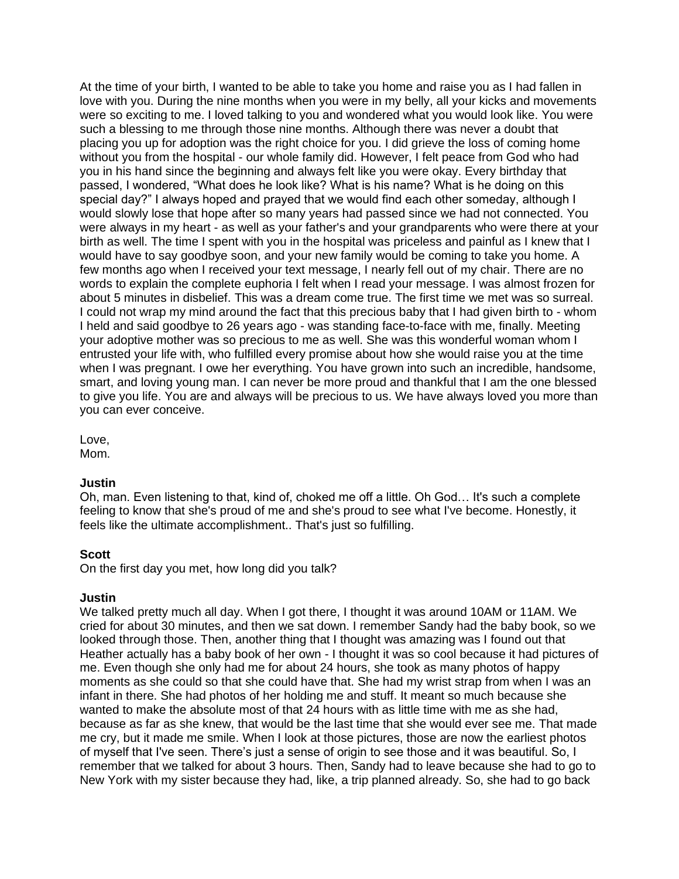At the time of your birth, I wanted to be able to take you home and raise you as I had fallen in love with you. During the nine months when you were in my belly, all your kicks and movements were so exciting to me. I loved talking to you and wondered what you would look like. You were such a blessing to me through those nine months. Although there was never a doubt that placing you up for adoption was the right choice for you. I did grieve the loss of coming home without you from the hospital - our whole family did. However, I felt peace from God who had you in his hand since the beginning and always felt like you were okay. Every birthday that passed, I wondered, "What does he look like? What is his name? What is he doing on this special day?" I always hoped and prayed that we would find each other someday, although I would slowly lose that hope after so many years had passed since we had not connected. You were always in my heart - as well as your father's and your grandparents who were there at your birth as well. The time I spent with you in the hospital was priceless and painful as I knew that I would have to say goodbye soon, and your new family would be coming to take you home. A few months ago when I received your text message, I nearly fell out of my chair. There are no words to explain the complete euphoria I felt when I read your message. I was almost frozen for about 5 minutes in disbelief. This was a dream come true. The first time we met was so surreal. I could not wrap my mind around the fact that this precious baby that I had given birth to - whom I held and said goodbye to 26 years ago - was standing face-to-face with me, finally. Meeting your adoptive mother was so precious to me as well. She was this wonderful woman whom I entrusted your life with, who fulfilled every promise about how she would raise you at the time when I was pregnant. I owe her everything. You have grown into such an incredible, handsome, smart, and loving young man. I can never be more proud and thankful that I am the one blessed to give you life. You are and always will be precious to us. We have always loved you more than you can ever conceive.

Love,

Mom.

## **Justin**

Oh, man. Even listening to that, kind of, choked me off a little. Oh God… It's such a complete feeling to know that she's proud of me and she's proud to see what I've become. Honestly, it feels like the ultimate accomplishment.. That's just so fulfilling.

## **Scott**

On the first day you met, how long did you talk?

## **Justin**

We talked pretty much all day. When I got there, I thought it was around 10AM or 11AM. We cried for about 30 minutes, and then we sat down. I remember Sandy had the baby book, so we looked through those. Then, another thing that I thought was amazing was I found out that Heather actually has a baby book of her own - I thought it was so cool because it had pictures of me. Even though she only had me for about 24 hours, she took as many photos of happy moments as she could so that she could have that. She had my wrist strap from when I was an infant in there. She had photos of her holding me and stuff. It meant so much because she wanted to make the absolute most of that 24 hours with as little time with me as she had, because as far as she knew, that would be the last time that she would ever see me. That made me cry, but it made me smile. When I look at those pictures, those are now the earliest photos of myself that I've seen. There's just a sense of origin to see those and it was beautiful. So, I remember that we talked for about 3 hours. Then, Sandy had to leave because she had to go to New York with my sister because they had, like, a trip planned already. So, she had to go back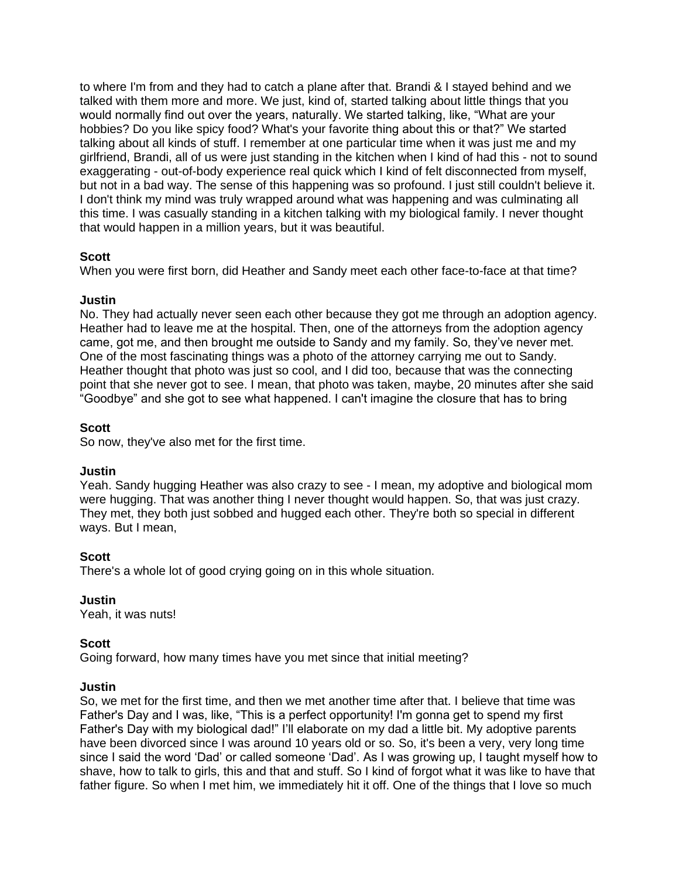to where I'm from and they had to catch a plane after that. Brandi & I stayed behind and we talked with them more and more. We just, kind of, started talking about little things that you would normally find out over the years, naturally. We started talking, like, "What are your hobbies? Do you like spicy food? What's your favorite thing about this or that?" We started talking about all kinds of stuff. I remember at one particular time when it was just me and my girlfriend, Brandi, all of us were just standing in the kitchen when I kind of had this - not to sound exaggerating - out-of-body experience real quick which I kind of felt disconnected from myself, but not in a bad way. The sense of this happening was so profound. I just still couldn't believe it. I don't think my mind was truly wrapped around what was happening and was culminating all this time. I was casually standing in a kitchen talking with my biological family. I never thought that would happen in a million years, but it was beautiful.

## **Scott**

When you were first born, did Heather and Sandy meet each other face-to-face at that time?

## **Justin**

No. They had actually never seen each other because they got me through an adoption agency. Heather had to leave me at the hospital. Then, one of the attorneys from the adoption agency came, got me, and then brought me outside to Sandy and my family. So, they've never met. One of the most fascinating things was a photo of the attorney carrying me out to Sandy. Heather thought that photo was just so cool, and I did too, because that was the connecting point that she never got to see. I mean, that photo was taken, maybe, 20 minutes after she said "Goodbye" and she got to see what happened. I can't imagine the closure that has to bring

## **Scott**

So now, they've also met for the first time.

## **Justin**

Yeah. Sandy hugging Heather was also crazy to see - I mean, my adoptive and biological mom were hugging. That was another thing I never thought would happen. So, that was just crazy. They met, they both just sobbed and hugged each other. They're both so special in different ways. But I mean,

## **Scott**

There's a whole lot of good crying going on in this whole situation.

## **Justin**

Yeah, it was nuts!

## **Scott**

Going forward, how many times have you met since that initial meeting?

#### **Justin**

So, we met for the first time, and then we met another time after that. I believe that time was Father's Day and I was, like, "This is a perfect opportunity! I'm gonna get to spend my first Father's Day with my biological dad!" I'll elaborate on my dad a little bit. My adoptive parents have been divorced since I was around 10 years old or so. So, it's been a very, very long time since I said the word 'Dad' or called someone 'Dad'. As I was growing up, I taught myself how to shave, how to talk to girls, this and that and stuff. So I kind of forgot what it was like to have that father figure. So when I met him, we immediately hit it off. One of the things that I love so much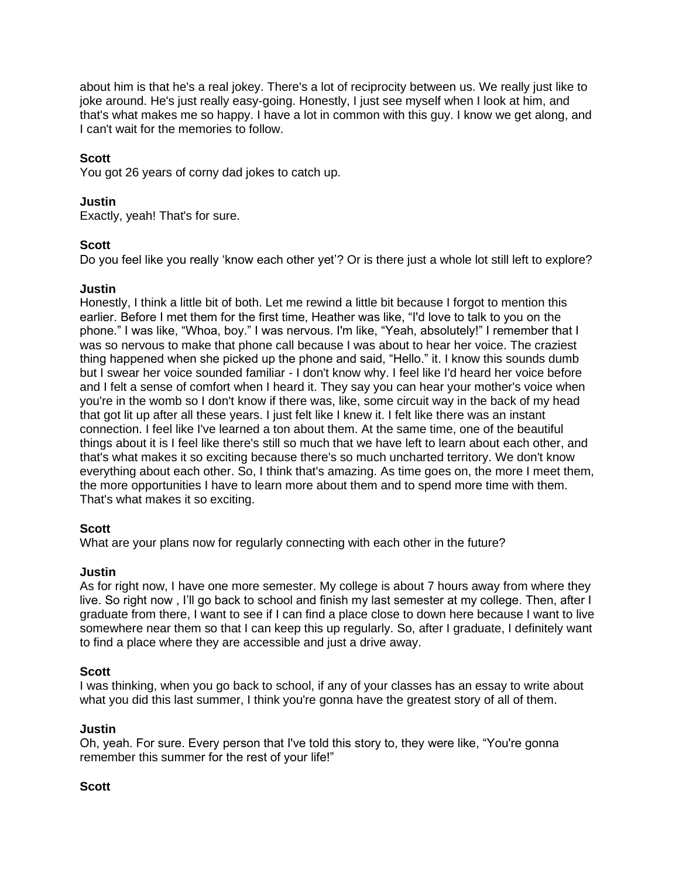about him is that he's a real jokey. There's a lot of reciprocity between us. We really just like to joke around. He's just really easy-going. Honestly, I just see myself when I look at him, and that's what makes me so happy. I have a lot in common with this guy. I know we get along, and I can't wait for the memories to follow.

# **Scott**

You got 26 years of corny dad jokes to catch up.

# **Justin**

Exactly, yeah! That's for sure.

## **Scott**

Do you feel like you really 'know each other yet'? Or is there just a whole lot still left to explore?

## **Justin**

Honestly, I think a little bit of both. Let me rewind a little bit because I forgot to mention this earlier. Before I met them for the first time, Heather was like, "I'd love to talk to you on the phone." I was like, "Whoa, boy." I was nervous. I'm like, "Yeah, absolutely!" I remember that I was so nervous to make that phone call because I was about to hear her voice. The craziest thing happened when she picked up the phone and said, "Hello." it. I know this sounds dumb but I swear her voice sounded familiar - I don't know why. I feel like I'd heard her voice before and I felt a sense of comfort when I heard it. They say you can hear your mother's voice when you're in the womb so I don't know if there was, like, some circuit way in the back of my head that got lit up after all these years. I just felt like I knew it. I felt like there was an instant connection. I feel like I've learned a ton about them. At the same time, one of the beautiful things about it is I feel like there's still so much that we have left to learn about each other, and that's what makes it so exciting because there's so much uncharted territory. We don't know everything about each other. So, I think that's amazing. As time goes on, the more I meet them, the more opportunities I have to learn more about them and to spend more time with them. That's what makes it so exciting.

## **Scott**

What are your plans now for regularly connecting with each other in the future?

## **Justin**

As for right now, I have one more semester. My college is about 7 hours away from where they live. So right now , I'll go back to school and finish my last semester at my college. Then, after I graduate from there, I want to see if I can find a place close to down here because I want to live somewhere near them so that I can keep this up regularly. So, after I graduate, I definitely want to find a place where they are accessible and just a drive away.

## **Scott**

I was thinking, when you go back to school, if any of your classes has an essay to write about what you did this last summer, I think you're gonna have the greatest story of all of them.

## **Justin**

Oh, yeah. For sure. Every person that I've told this story to, they were like, "You're gonna remember this summer for the rest of your life!"

# **Scott**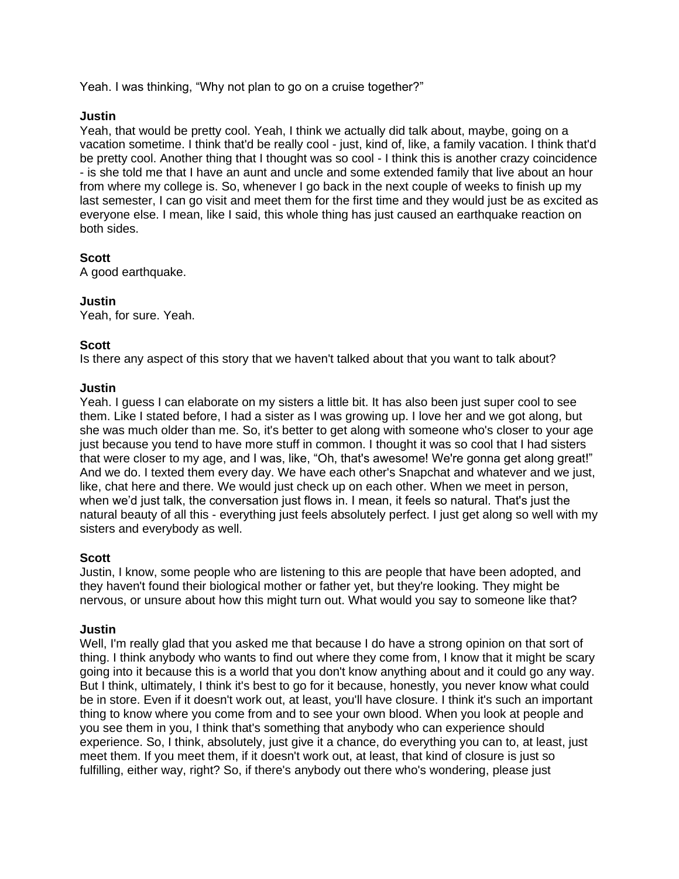Yeah. I was thinking, "Why not plan to go on a cruise together?"

### **Justin**

Yeah, that would be pretty cool. Yeah, I think we actually did talk about, maybe, going on a vacation sometime. I think that'd be really cool - just, kind of, like, a family vacation. I think that'd be pretty cool. Another thing that I thought was so cool - I think this is another crazy coincidence - is she told me that I have an aunt and uncle and some extended family that live about an hour from where my college is. So, whenever I go back in the next couple of weeks to finish up my last semester, I can go visit and meet them for the first time and they would just be as excited as evervone else. I mean, like I said, this whole thing has just caused an earthquake reaction on both sides.

## **Scott**

A good earthquake.

### **Justin**

Yeah, for sure. Yeah.

### **Scott**

Is there any aspect of this story that we haven't talked about that you want to talk about?

#### **Justin**

Yeah. I guess I can elaborate on my sisters a little bit. It has also been just super cool to see them. Like I stated before, I had a sister as I was growing up. I love her and we got along, but she was much older than me. So, it's better to get along with someone who's closer to your age just because you tend to have more stuff in common. I thought it was so cool that I had sisters that were closer to my age, and I was, like, "Oh, that's awesome! We're gonna get along great!" And we do. I texted them every day. We have each other's Snapchat and whatever and we just, like, chat here and there. We would just check up on each other. When we meet in person, when we'd just talk, the conversation just flows in. I mean, it feels so natural. That's just the natural beauty of all this - everything just feels absolutely perfect. I just get along so well with my sisters and everybody as well.

#### **Scott**

Justin, I know, some people who are listening to this are people that have been adopted, and they haven't found their biological mother or father yet, but they're looking. They might be nervous, or unsure about how this might turn out. What would you say to someone like that?

#### **Justin**

Well, I'm really glad that you asked me that because I do have a strong opinion on that sort of thing. I think anybody who wants to find out where they come from, I know that it might be scary going into it because this is a world that you don't know anything about and it could go any way. But I think, ultimately, I think it's best to go for it because, honestly, you never know what could be in store. Even if it doesn't work out, at least, you'll have closure. I think it's such an important thing to know where you come from and to see your own blood. When you look at people and you see them in you, I think that's something that anybody who can experience should experience. So, I think, absolutely, just give it a chance, do everything you can to, at least, just meet them. If you meet them, if it doesn't work out, at least, that kind of closure is just so fulfilling, either way, right? So, if there's anybody out there who's wondering, please just